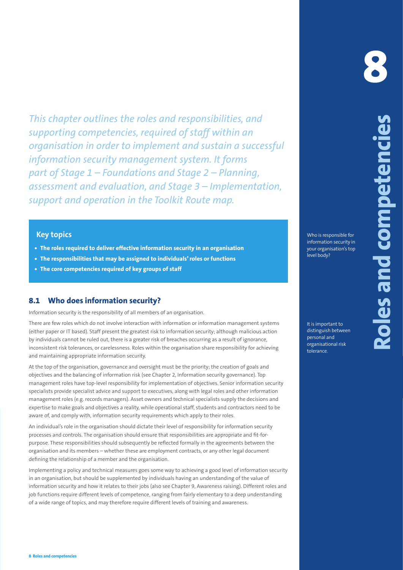This chapter cultimes the relation that is expected to expect the relation of the state of the state of the state of the state of the state of the state of the state of the state of the state of the state of the state of *This chapter outlines the roles and responsibilities, and supporting competencies, required of staff within an organisation in order to implement and sustain a successful information security management system. It forms part of Stage 1 – Foundations and Stage 2 – Planning, assessment and evaluation, and Stage 3 – Implementation, support and operation in the Toolkit Route map.*

# **Key topics**

- **• The roles required to deliver effective information security in an organisation**
- **• The responsibilities that may be assigned to individuals' roles or functions**
- **• The core competencies required of key groups of staff**

# **8.1 Who does information security?**

Information security is the responsibility of all members of an organisation.

There are few roles which do not involve interaction with information or information management systems (either paper or IT based). Staff present the greatest risk to information security; although malicious action by individuals cannot be ruled out, there is a greater risk of breaches occurring as a result of ignorance, inconsistent risk tolerances, or carelessness. Roles within the organisation share responsibility for achieving and maintaining appropriate information security.

At the top of the organisation, governance and oversight must be the priority; the creation of goals and objectives and the balancing of information risk (see Chapter 2, Information security governance). Top management roles have top-level responsibility for implementation of objectives. Senior information security specialists provide specialist advice and support to executives, along with legal roles and other information management roles (e.g. records managers). Asset owners and technical specialists supply the decisions and expertise to make goals and objectives a reality, while operational staff, students and contractors need to be aware of, and comply with, information security requirements which apply to their roles.

An individual's role in the organisation should dictate their level of responsibility for information security processes and controls. The organisation should ensure that responsibilities are appropriate and fit-forpurpose. These responsibilities should subsequently be reflected formally in the agreements between the organisation and its members – whether these are employment contracts, or any other legal document defining the relationship of a member and the organisation.

Implementing a policy and technical measures goes some way to achieving a good level of information security in an organisation, but should be supplemented by individuals having an understanding of the value of information security and how it relates to their jobs (also see Chapter 9, Awareness raising). Different roles and job functions require different levels of competence, ranging from fairly elementary to a deep understanding of a wide range of topics, and may therefore require different levels of training and awareness.

## Who is responsible for information security in your organisation's top level body?

It is important to distinguish between personal and organisational risk tolerance.

**8**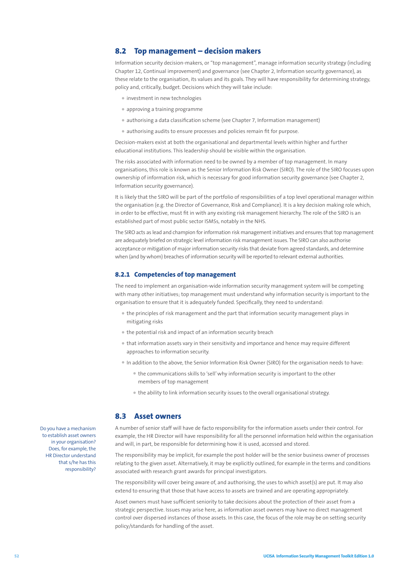## **8.2 Top management – decision makers**

Information security decision-makers, or "top management", manage information security strategy (including Chapter 12, Continual improvement) and governance (see Chapter 2, Information security governance), as these relate to the organisation, its values and its goals. They will have responsibility for determining strategy, policy and, critically, budget. Decisions which they will take include:

- investment in new technologies
- approving a training programme
- authorising a data classification scheme (see Chapter 7, Information management)
- authorising audits to ensure processes and policies remain fit for purpose.

Decision-makers exist at both the organisational and departmental levels within higher and further educational institutions. This leadership should be visible within the organisation.

The risks associated with information need to be owned by a member of top management. In many organisations, this role is known as the Senior Information Risk Owner (SIRO). The role of the SIRO focuses upon ownership of information risk, which is necessary for good information security governance (see Chapter 2, Information security governance).

It is likely that the SIRO will be part of the portfolio of responsibilities of a top level operational manager within the organisation (e.g. the Director of Governance, Risk and Compliance). It is a key decision making role which, in order to be effective, must fit in with any existing risk management hierarchy. The role of the SIRO is an established part of most public sector ISMSs, notably in the NHS.

The SIRO acts as lead and champion for information risk management initiatives and ensures that top management are adequately briefed on strategic level information risk management issues. The SIRO can also authorise acceptance or mitigation of major information security risks that deviate from agreed standards, and determine when (and by whom) breaches of information security will be reported to relevant external authorities.

#### **8.2.1 Competencies of top management**

The need to implement an organisation-wide information security management system will be competing with many other initiatives; top management must understand why information security is important to the organisation to ensure that it is adequately funded. Specifically, they need to understand:

- the principles of risk management and the part that information security management plays in mitigating risks
- the potential risk and impact of an information security breach
- that information assets vary in their sensitivity and importance and hence may require different approaches to information security.
- In addition to the above, the Senior Information Risk Owner (SIRO) for the organisation needs to have:
	- the communications skills to 'sell' why information security is important to the other members of top management
	- the ability to link information security issues to the overall organisational strategy.

#### **8.3 Asset owners**

A number of senior staff will have de facto responsibility for the information assets under their control. For example, the HR Director will have responsibility for all the personnel information held within the organisation and will, in part, be responsible for determining how it is used, accessed and stored.

The responsibility may be implicit, for example the post holder will be the senior business owner of processes relating to the given asset. Alternatively, it may be explicitly outlined, for example in the terms and conditions associated with research grant awards for principal investigators.

The responsibility will cover being aware of, and authorising, the uses to which asset(s) are put. It may also extend to ensuring that those that have access to assets are trained and are operating appropriately.

Asset owners must have sufficient seniority to take decisions about the protection of their asset from a strategic perspective. Issues may arise here, as information asset owners may have no direct management control over dispersed instances of those assets. In this case, the focus of the role may be on setting security policy/standards for handling of the asset.

Do you have a mechanism to establish asset owners in your organisation? Does, for example, the HR Director understand that s/he has this responsibility?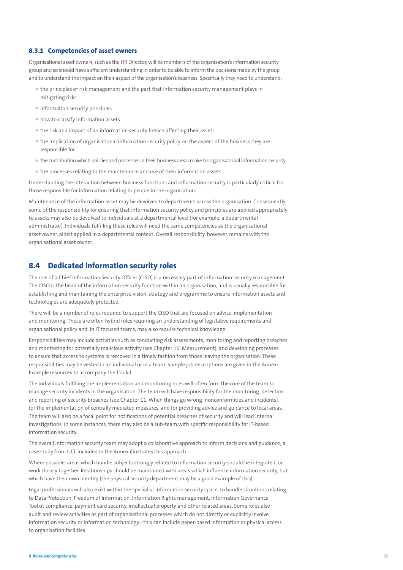## **8.3.1 Competencies of asset owners**

Organisational asset owners, such as the HR Director, will be members of the organisation's information security group and so should have sufficient understanding in order to be able to inform the decisions made by the group and to understand the impact on their aspect of the organisation's business. Specifically they need to understand:

- the principles of risk management and the part that information security management plays in mitigating risks
- information security principles
- how to classify information assets
- the risk and impact of an information security breach affecting their assets
- the implication of organisational information security policy on the aspect of the business they are responsible for
- the contribution which policies and processes in their business areas make to organisational information security
- the processes relating to the maintenance and use of their information assets.

Understanding the interaction between business functions and information security is particularly critical for those responsible for information relating to people in the organisation.

Maintenance of the information asset may be devolved to departments across the organisation. Consequently some of the responsibility for ensuring that information security policy and principles are applied appropriately to assets may also be devolved to individuals at a departmental level (for example, a departmental administrator). Individuals fulfilling these roles will need the same competencies as the organisational asset owner, albeit applied in a departmental context. Overall responsibility, however, remains with the organisational asset owner.

# **8.4 Dedicated information security roles**

The role of a Chief Information Security Officer (CISO) is a necessary part of information security management. The CISO is the head of the information security function within an organisation, and is usually responsible for establishing and maintaining the enterprise vision, strategy and programme to ensure information assets and technologies are adequately protected.

There will be a number of roles required to support the CISO that are focused on advice, implementation and monitoring. These are often hybrid roles requiring an understanding of legislative requirements and organisational policy and, in IT focused teams, may also require technical knowledge.

Responsibilities may include activities such as conducting risk assessments, monitoring and reporting breaches and monitoring for potentially malicious activity (see Chapter 10, Measurement), and developing processes to ensure that access to systems is removed in a timely fashion from those leaving the organisation. These responsibilities may be vested in an individual or in a team; sample job descriptions are given in the Annex: Example resources to accompany the Toolkit.

The individuals fulfilling the implementation and monitoring roles will often form the core of the team to manage security incidents in the organisation. The team will have responsibility for the monitoring, detection and reporting of security breaches (see Chapter 11, When things go wrong: nonconformities and incidents), for the implementation of centrally mediated measures, and for providing advice and guidance to local areas. The team will also be a focal point for notifications of potential breaches of security and will lead internal investigations. In some instances, there may also be a sub-team with specific responsibility for IT-based information security.

The overall information security team may adopt a collaborative approach to inform decisions and guidance; a case study from UCL included in the Annex illustrates this approach.

Where possible, areas which handle subjects strongly related to information security should be integrated, or work closely together. Relationships should be maintained with areas which influence information security, but which have their own identity (the physical security department may be a good example of this).

Legal professionals will also exist within the specialist information security space, to handle situations relating to Data Protection, Freedom of Information, Information Rights management, Information Governance Toolkit compliance, payment card security, intellectual property and other related areas. Some roles also audit and review activities as part of organisational processes which do not directly or explicitly involve information security or information technology - this can include paper-based information or physical access to organisation facilities.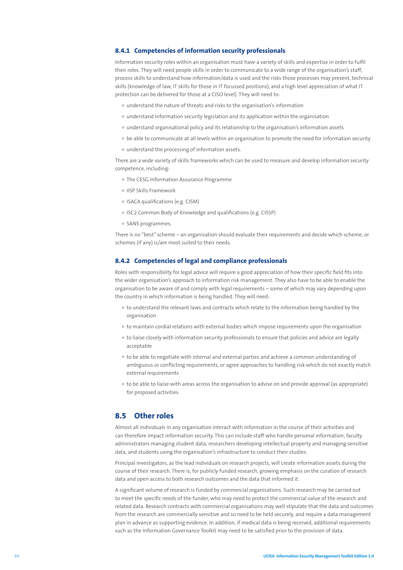#### **8.4.1 Competencies of information security professionals**

Information security roles within an organisation must have a variety of skills and expertise in order to fulfil their roles. They will need people skills in order to communicate to a wide range of the organisation's staff, process skills to understand how information/data is used and the risks those processes may present, technical skills (knowledge of law, IT skills for those in IT focussed positions), and a high level appreciation of what IT protection can be delivered for those at a CISO level). They will need to:

- understand the nature of threats and risks to the organisation's information
- understand information security legislation and its application within the organisation
- understand organisational policy and its relationship to the organisation's information assets
- be able to communicate at all levels within an organisation to promote the need for information security
- understand the processing of information assets.

There are a wide variety of skills frameworks which can be used to measure and develop information security competence, including:

- The CESG Information Assurance Programme
- IISP Skills Framework
- ISACA qualifications (e.g. CISM)
- ISC2 Common Body of Knowledge and qualifications (e.g. CISSP)
- SANS programmes.

There is no "best" scheme – an organisation should evaluate their requirements and decide which scheme, or schemes (if any) is/are most suited to their needs.

#### **8.4.2 Competencies of legal and compliance professionals**

Roles with responsibility for legal advice will require a good appreciation of how their specific field fits into the wider organisation's approach to information risk management. They also have to be able to enable the organisation to be aware of and comply with legal requirements – some of which may vary depending upon the country in which information is being handled. They will need:

- to understand the relevant laws and contracts which relate to the information being handled by the organisation
- to maintain cordial relations with external bodies which impose requirements upon the organisation
- to liaise closely with information security professionals to ensure that policies and advice are legally acceptable
- to be able to negotiate with internal and external parties and achieve a common understanding of ambiguous or conflicting requirements, or agree approaches to handling risk which do not exactly match external requirements
- to be able to liaise with areas across the organisation to advise on and provide approval (as appropriate) for proposed activities.

# **8.5 Other roles**

Almost all individuals in any organisation interact with information in the course of their activities and can therefore impact information security. This can include staff who handle personal information, faculty administrators managing student data, researchers developing intellectual property and managing sensitive data, and students using the organisation's infrastructure to conduct their studies.

Principal investigators, as the lead individuals on research projects, will create information assets during the course of their research. There is, for publicly funded research, growing emphasis on the curation of research data and open access to both research outcomes and the data that informed it.

A significant volume of research is funded by commercial organisations. Such research may be carried out to meet the specific needs of the funder, who may need to protect the commercial value of the research and related data. Research contracts with commercial organisations may well stipulate that the data and outcomes from the research are commercially sensitive and so need to be held securely, and require a data management plan in advance as supporting evidence. In addition, if medical data is being received, additional requirements such as the Information Governance Toolkit may need to be satisfied prior to the provision of data.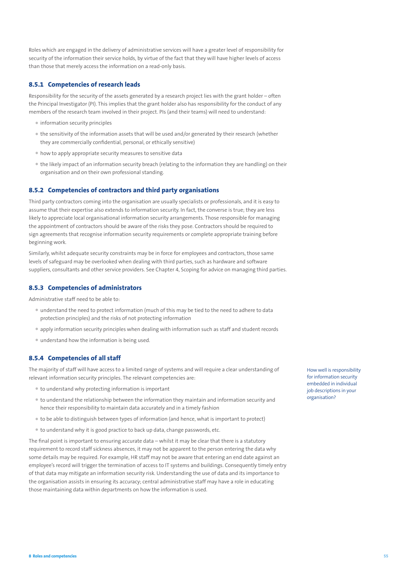Roles which are engaged in the delivery of administrative services will have a greater level of responsibility for security of the information their service holds, by virtue of the fact that they will have higher levels of access than those that merely access the information on a read-only basis.

## **8.5.1 Competencies of research leads**

Responsibility for the security of the assets generated by a research project lies with the grant holder – often the Principal Investigator (PI). This implies that the grant holder also has responsibility for the conduct of any members of the research team involved in their project. PIs (and their teams) will need to understand:

- information security principles
- the sensitivity of the information assets that will be used and/or generated by their research (whether they are commercially confidential, personal, or ethically sensitive)
- how to apply appropriate security measures to sensitive data
- the likely impact of an information security breach (relating to the information they are handling) on their organisation and on their own professional standing.

#### **8.5.2 Competencies of contractors and third party organisations**

Third party contractors coming into the organisation are usually specialists or professionals, and it is easy to assume that their expertise also extends to information security. In fact, the converse is true; they are less likely to appreciate local organisational information security arrangements. Those responsible for managing the appointment of contractors should be aware of the risks they pose. Contractors should be required to sign agreements that recognise information security requirements or complete appropriate training before beginning work.

Similarly, whilst adequate security constraints may be in force for employees and contractors, those same levels of safeguard may be overlooked when dealing with third parties, such as hardware and software suppliers, consultants and other service providers. See Chapter 4, Scoping for advice on managing third parties.

## **8.5.3 Competencies of administrators**

Administrative staff need to be able to:

- understand the need to protect information (much of this may be tied to the need to adhere to data protection principles) and the risks of not protecting information
- apply information security principles when dealing with information such as staff and student records
- understand how the information is being used.

#### **8.5.4 Competencies of all staff**

The majority of staff will have access to a limited range of systems and will require a clear understanding of relevant information security principles. The relevant competencies are:

- to understand why protecting information is important
- to understand the relationship between the information they maintain and information security and hence their responsibility to maintain data accurately and in a timely fashion
- to be able to distinguish between types of information (and hence, what is important to protect)
- to understand why it is good practice to back up data, change passwords, etc.

The final point is important to ensuring accurate data – whilst it may be clear that there is a statutory requirement to record staff sickness absences, it may not be apparent to the person entering the data why some details may be required. For example, HR staff may not be aware that entering an end date against an employee's record will trigger the termination of access to IT systems and buildings. Consequently timely entry of that data may mitigate an information security risk. Understanding the use of data and its importance to the organisation assists in ensuring its accuracy; central administrative staff may have a role in educating those maintaining data within departments on how the information is used.

How well is responsibility for information security embedded in individual job descriptions in your organisation?